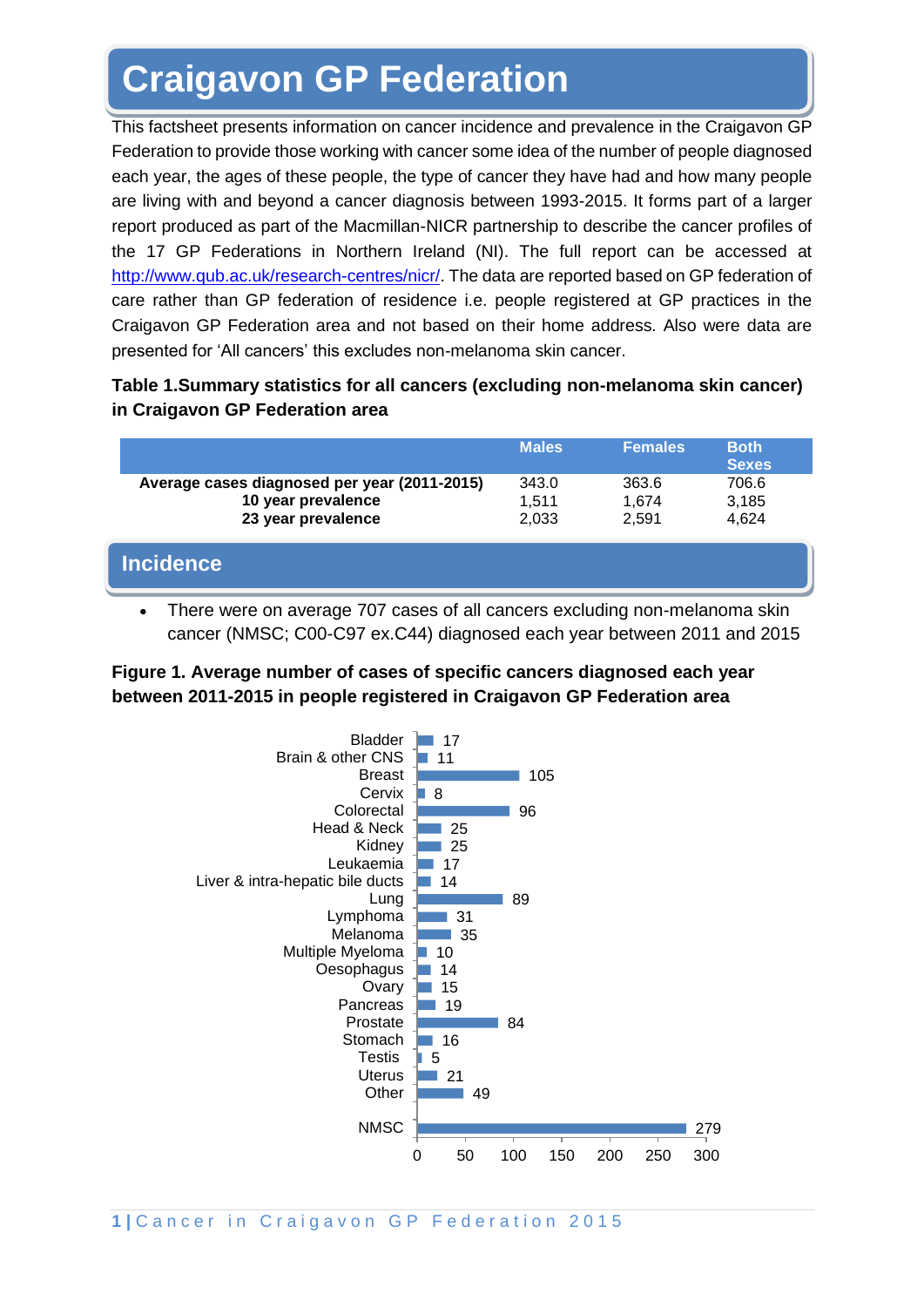# **Craigavon GP Federation**

This factsheet presents information on cancer incidence and prevalence in the Craigavon GP Federation to provide those working with cancer some idea of the number of people diagnosed each year, the ages of these people, the type of cancer they have had and how many people are living with and beyond a cancer diagnosis between 1993-2015. It forms part of a larger report produced as part of the Macmillan-NICR partnership to describe the cancer profiles of the 17 GP Federations in Northern Ireland (NI). The full report can be accessed at [http://www.qub.ac.uk/research-centres/nicr/.](http://www.qub.ac.uk/research-centres/nicr/) The data are reported based on GP federation of care rather than GP federation of residence i.e. people registered at GP practices in the Craigavon GP Federation area and not based on their home address. Also were data are presented for 'All cancers' this excludes non-melanoma skin cancer.

#### **Table 1.Summary statistics for all cancers (excluding non-melanoma skin cancer) in Craigavon GP Federation area**

|                                                                                          | <b>Males</b>            | <b>Females</b>          | <b>Both</b><br><b>Sexes</b> |
|------------------------------------------------------------------------------------------|-------------------------|-------------------------|-----------------------------|
| Average cases diagnosed per year (2011-2015)<br>10 year prevalence<br>23 year prevalence | 343.0<br>1.511<br>2,033 | 363.6<br>1.674<br>2.591 | 706.6<br>3,185<br>4,624     |
| <b>Incidence</b>                                                                         |                         |                         |                             |

There were on average 707 cases of all cancers excluding non-melanoma skin cancer (NMSC; C00-C97 ex.C44) diagnosed each year between 2011 and 2015

## **Figure 1. Average number of cases of specific cancers diagnosed each year between 2011-2015 in people registered in Craigavon GP Federation area**

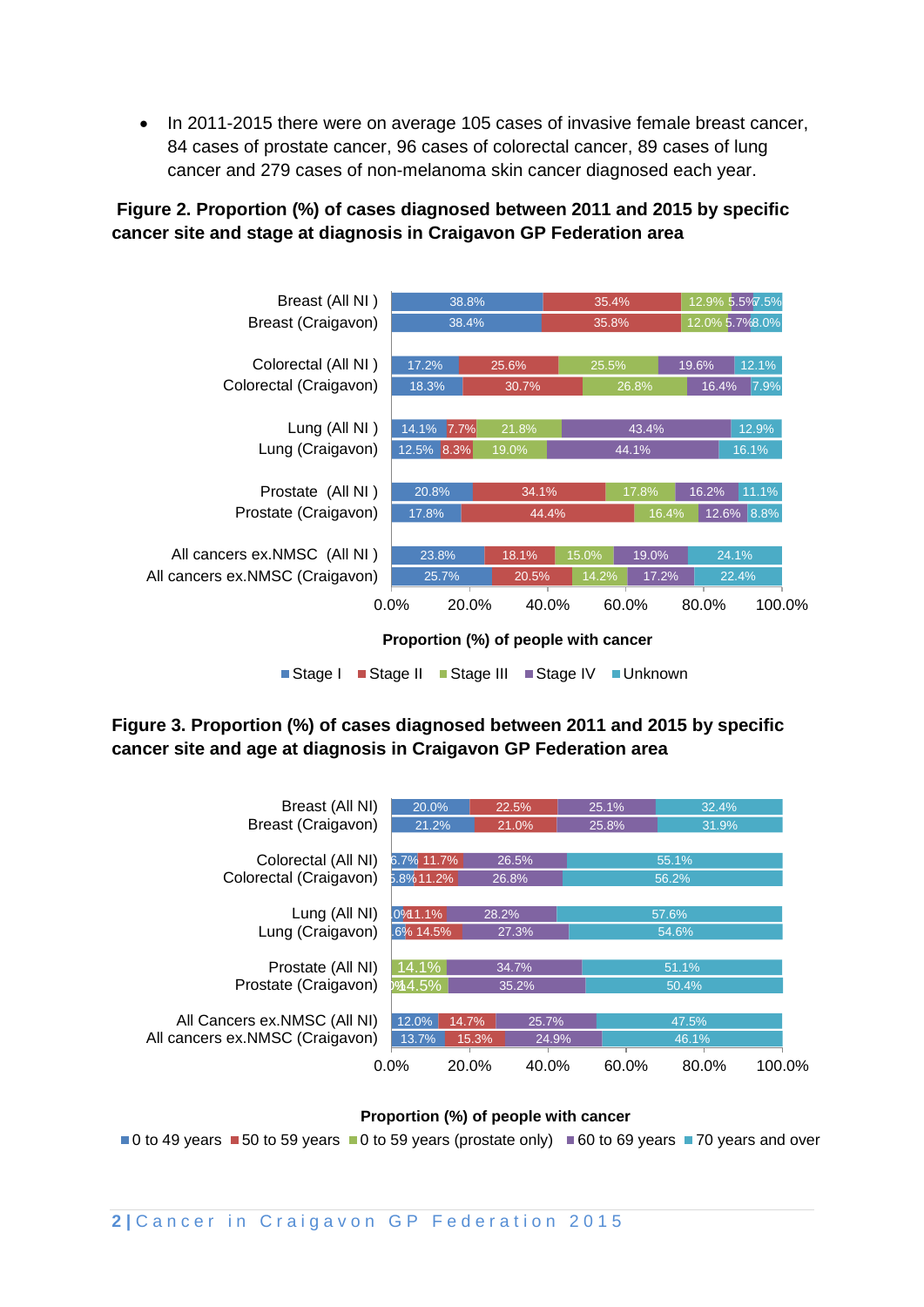• In 2011-2015 there were on average 105 cases of invasive female breast cancer, 84 cases of prostate cancer, 96 cases of colorectal cancer, 89 cases of lung cancer and 279 cases of non-melanoma skin cancer diagnosed each year.

## **Figure 2. Proportion (%) of cases diagnosed between 2011 and 2015 by specific cancer site and stage at diagnosis in Craigavon GP Federation area**



■Stage I ■ Stage II ■ Stage III ■ Stage IV ■ Unknown

## **Figure 3. Proportion (%) of cases diagnosed between 2011 and 2015 by specific cancer site and age at diagnosis in Craigavon GP Federation area**



**Proportion (%) of people with cancer**

 $\blacksquare$ 0 to 49 years  $\blacksquare$  50 to 59 years  $\blacksquare$ 0 to 59 years (prostate only)  $\blacksquare$  60 to 69 years  $\blacksquare$  70 years and over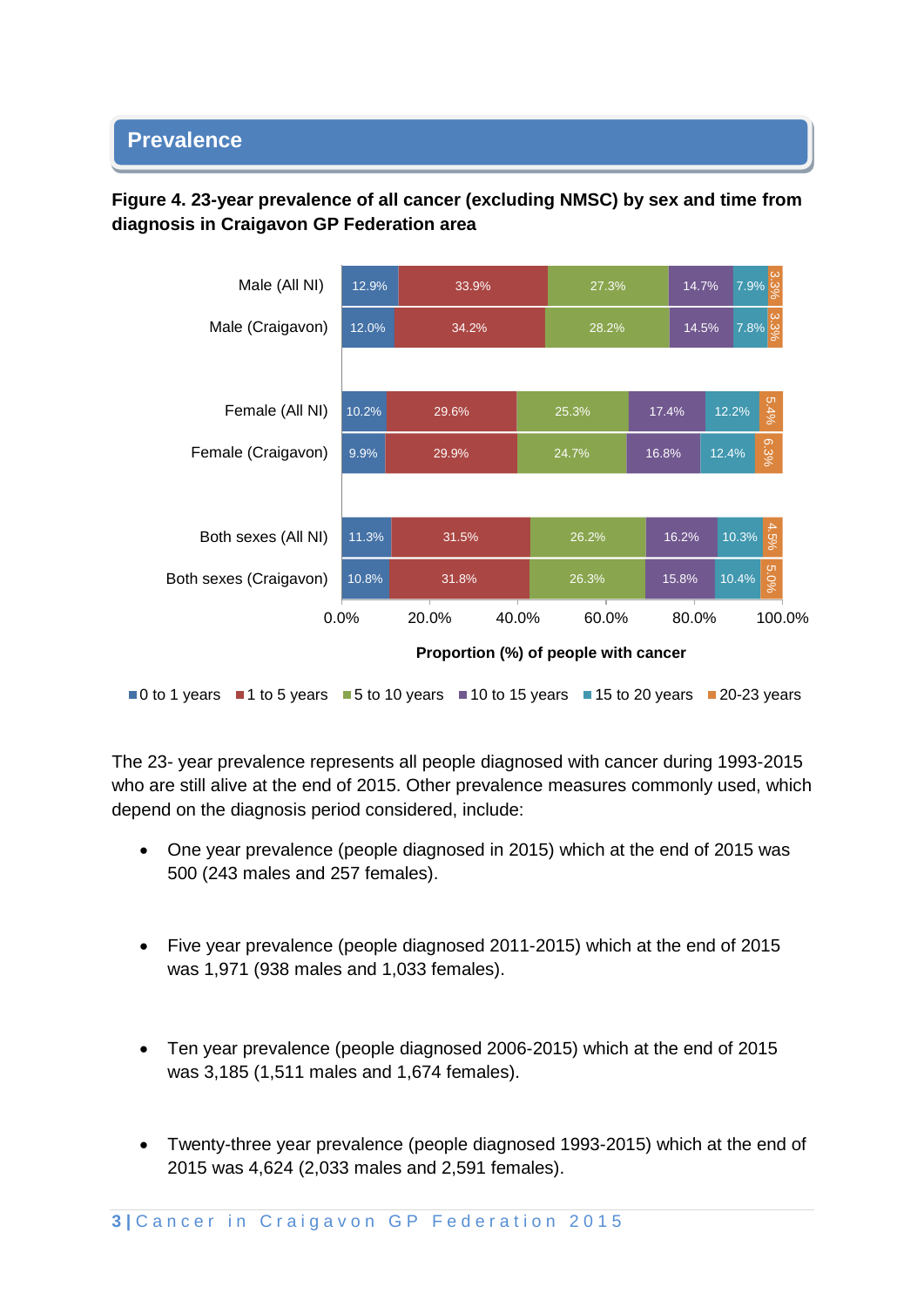# **Prevalence**

## **Figure 4. 23-year prevalence of all cancer (excluding NMSC) by sex and time from diagnosis in Craigavon GP Federation area**



 $\blacksquare$ 0 to 1 years  $\blacksquare$ 1 to 5 years  $\blacksquare$  5 to 10 years  $\blacksquare$  10 to 15 years  $\blacksquare$  15 to 20 years  $\blacksquare$  20-23 years

The 23- year prevalence represents all people diagnosed with cancer during 1993-2015 who are still alive at the end of 2015. Other prevalence measures commonly used, which depend on the diagnosis period considered, include:

- One year prevalence (people diagnosed in 2015) which at the end of 2015 was 500 (243 males and 257 females).
- Five year prevalence (people diagnosed 2011-2015) which at the end of 2015 was 1,971 (938 males and 1,033 females).
- Ten year prevalence (people diagnosed 2006-2015) which at the end of 2015 was 3,185 (1,511 males and 1,674 females).
- Twenty-three year prevalence (people diagnosed 1993-2015) which at the end of 2015 was 4,624 (2,033 males and 2,591 females).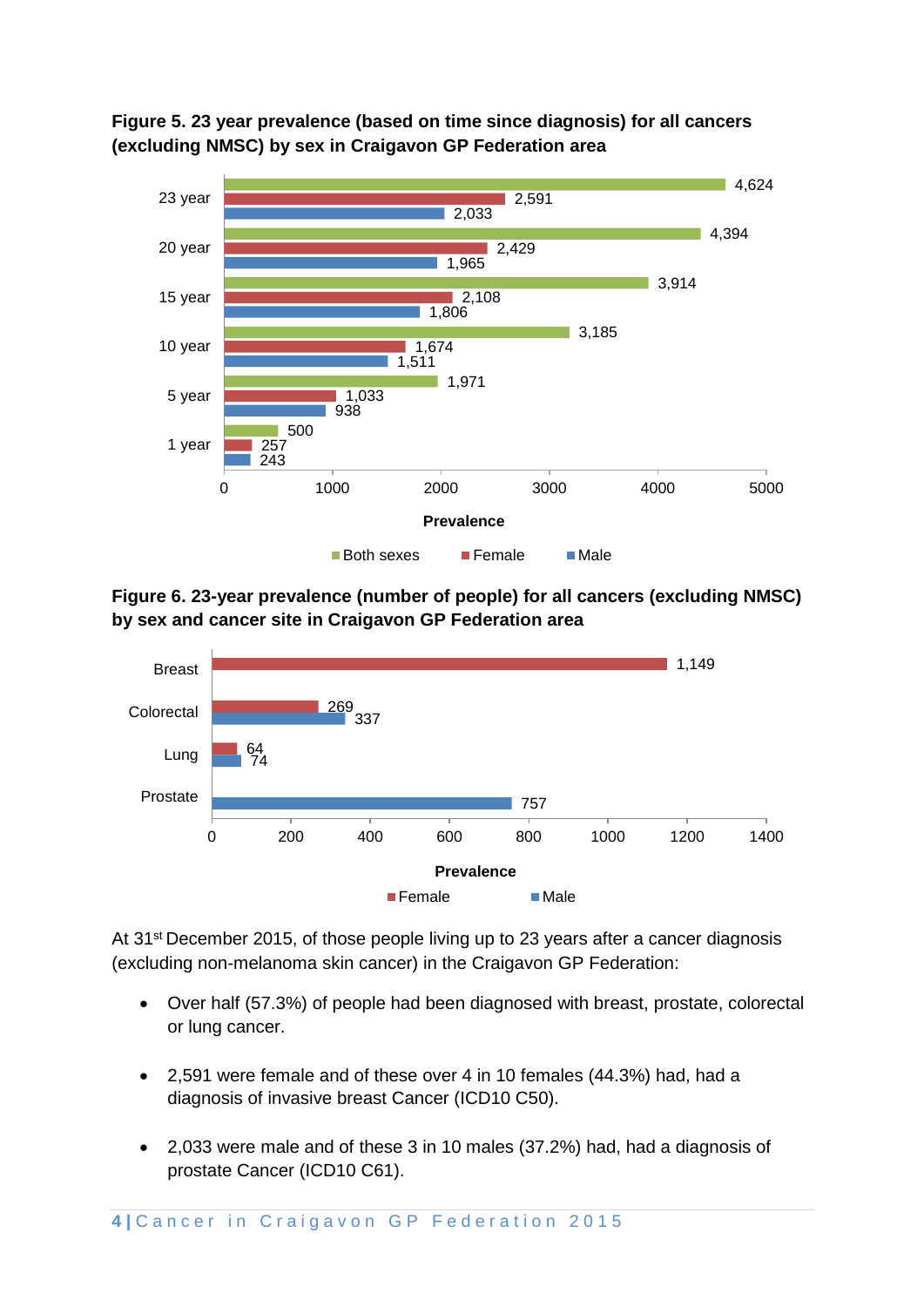



**Figure 6. 23-year prevalence (number of people) for all cancers (excluding NMSC) by sex and cancer site in Craigavon GP Federation area**



At 31<sup>st</sup> December 2015, of those people living up to 23 years after a cancer diagnosis (excluding non-melanoma skin cancer) in the Craigavon GP Federation:

- Over half (57.3%) of people had been diagnosed with breast, prostate, colorectal or lung cancer.
- 2,591 were female and of these over 4 in 10 females (44.3%) had, had a diagnosis of invasive breast Cancer (ICD10 C50).
- 2,033 were male and of these 3 in 10 males (37.2%) had, had a diagnosis of prostate Cancer (ICD10 C61).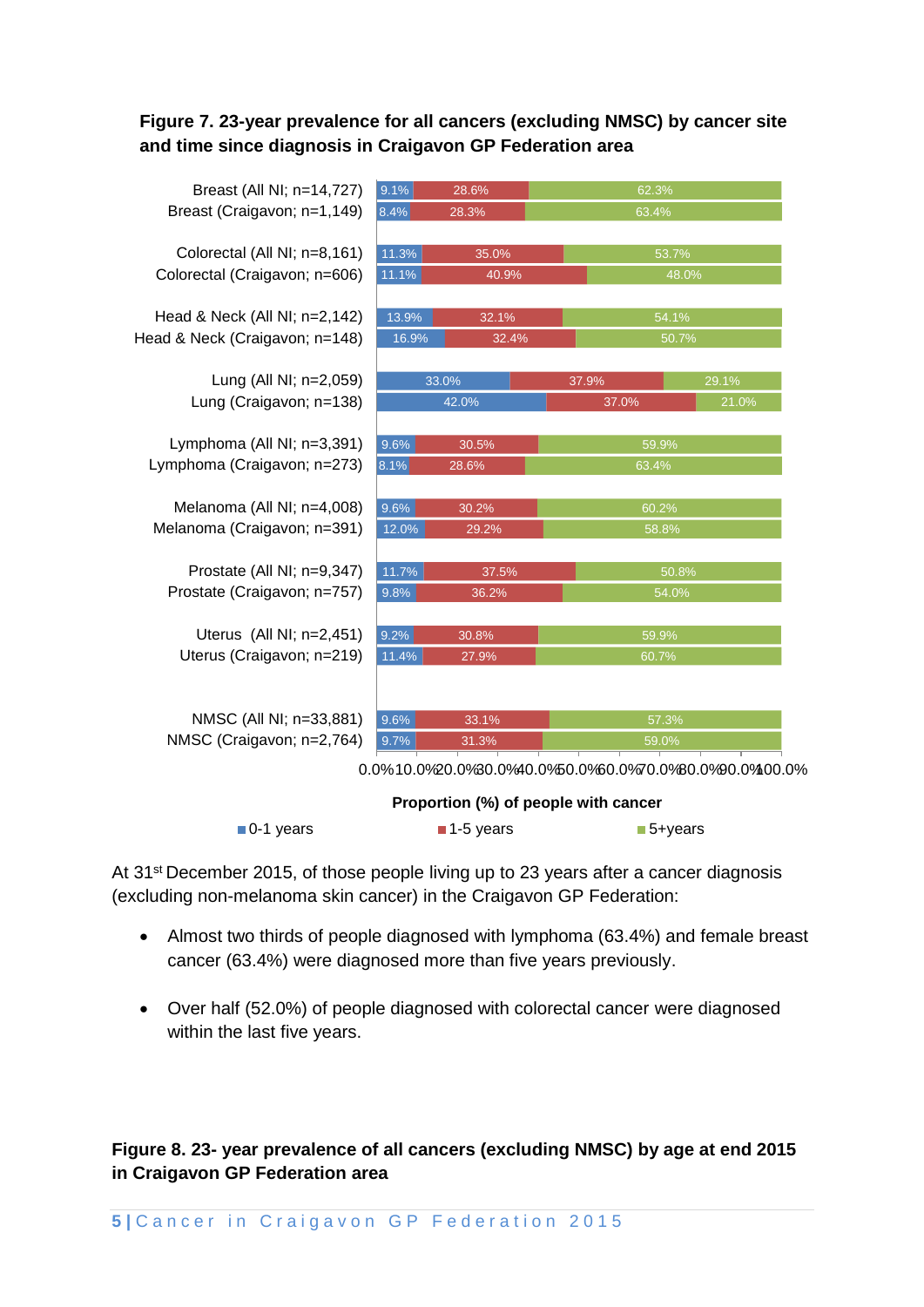#### **Figure 7. 23-year prevalence for all cancers (excluding NMSC) by cancer site and time since diagnosis in Craigavon GP Federation area**

| Breast (All NI; n=14,727)      | 9.1%  | 28.6% | 62.3%                                                                                                          |       |  |
|--------------------------------|-------|-------|----------------------------------------------------------------------------------------------------------------|-------|--|
| Breast (Craigavon; n=1,149)    | 8.4%  | 28.3% | 63.4%                                                                                                          |       |  |
|                                |       |       |                                                                                                                |       |  |
| Colorectal (All NI; n=8,161)   | 11.3% | 35.0% |                                                                                                                | 53.7% |  |
| Colorectal (Craigavon; n=606)  | 11.1% | 40.9% |                                                                                                                | 48.0% |  |
|                                |       |       |                                                                                                                |       |  |
| Head & Neck (All NI; n=2,142)  | 13.9% | 32.1% |                                                                                                                | 54.1% |  |
| Head & Neck (Craigavon; n=148) | 16.9% | 32.4% | 50.7%                                                                                                          |       |  |
|                                |       |       |                                                                                                                |       |  |
| Lung (All NI; n=2,059)         |       | 33.0% | 37.9%                                                                                                          | 29.1% |  |
| Lung (Craigavon; n=138)        |       | 42.0% | 37.0%                                                                                                          | 21.0% |  |
|                                |       |       |                                                                                                                |       |  |
| Lymphoma (All NI; n=3,391)     | 9.6%  | 30.5% | 59.9%                                                                                                          |       |  |
| Lymphoma (Craigavon; n=273)    | 8.1%  | 28.6% | 63.4%                                                                                                          |       |  |
|                                |       |       |                                                                                                                |       |  |
| Melanoma (All NI; n=4,008)     | 9.6%  | 30.2% |                                                                                                                | 60.2% |  |
| Melanoma (Craigavon; n=391)    | 12.0% | 29.2% | 58.8%                                                                                                          |       |  |
|                                |       |       |                                                                                                                |       |  |
| Prostate (All NI; n=9,347)     | 11.7% | 37.5% |                                                                                                                | 50.8% |  |
| Prostate (Craigavon; n=757)    | 9.8%  | 36.2% | 54.0%                                                                                                          |       |  |
| Uterus (All NI; n=2,451)       | 9.2%  |       |                                                                                                                |       |  |
| Uterus (Craigavon; n=219)      |       | 30.8% | 59.9%                                                                                                          |       |  |
|                                | 11.4% | 27.9% | 60.7%                                                                                                          |       |  |
|                                |       |       |                                                                                                                |       |  |
| NMSC (All NI; n=33,881)        | 9.6%  | 33.1% |                                                                                                                | 57.3% |  |
| NMSC (Craigavon; n=2,764)      | 9.7%  | 31.3% | 59.0%                                                                                                          |       |  |
|                                |       |       | 0.00% 10.00% 0.00% 0.00% 0.00% 0.00% 0.00% 0.00% 0.00% 0.00% 0.00% 0.00% 0.00% 0.00% 0.00% 0.00% 0.00% 0.00% 0 |       |  |

0.0%10.0%20.0%30.0%40.0%50.0%60.0%70.0%80.0%90.0%100.0%

|                          |                          | Proportion (%) of people with cancer |  |  |
|--------------------------|--------------------------|--------------------------------------|--|--|
| $\blacksquare$ 0-1 years | $\blacksquare$ 1-5 years | $\blacksquare$ 5+years               |  |  |

At 31<sup>st</sup> December 2015, of those people living up to 23 years after a cancer diagnosis (excluding non-melanoma skin cancer) in the Craigavon GP Federation:

- Almost two thirds of people diagnosed with lymphoma (63.4%) and female breast cancer (63.4%) were diagnosed more than five years previously.
- Over half (52.0%) of people diagnosed with colorectal cancer were diagnosed within the last five years.

## **Figure 8. 23- year prevalence of all cancers (excluding NMSC) by age at end 2015 in Craigavon GP Federation area**